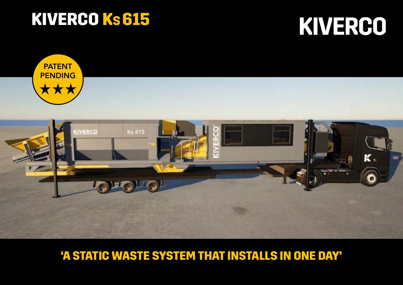# KIVERCO KS 615

# KIVERCO



# 'A STATIC WASTE SYSTEM THAT INSTALLS IN ONE DAY'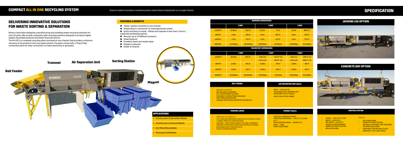#### **FEATURES & BENEFITS**

- 'Static' system mounted on one chassis
- Simple plug-in connection to mains/generator power
- Ouick and easy to install offload and operate in less than 3 hours ( (hydraulic jacking leg option)
- Recover up to 14 different products
- Small footprint
- Excellent asset and resale value
- Simple to relocate
- Easier to finance

KIverco have been designing, manufacturing and installing waste recycling solutions for over 30 years. We provide customers with recycling systems designed to produce higher quality recyclable products and faster financial returns.

The Ks 615 is a complete recycling plant mounted on one chassis that provides a minimum recovery of six products from any waste stream. The plant comes with a 'Plug & Play' connection point for easy connection to mains electricity or generator.

- $3M (9'10'') X 1M (3'3'')$
- INCLINE ANGLE 18 DEGREES
- **FULL LENGTH IMPACT SECTION**
- PLAIN BELT (OTHER OPTIONS AVAILABLE) **HIGH TORQUE GEAR MOTOR**
- 
- VARIABLE SPEED DRIVE (INVERTER CONTROLLED )

### **COMPACT ALL IN ONE RECYCLING SYSTEM** Kiverco's latest innovation combines proven robust Kiverco Equipment on a single chassis.

## **DELIVERING INNOVATIVE SOLUTIONS FOR WASTE SORTING & SEPARATION**

- DRIVE 7.5KW MOTOR
- ADJUSTABLE INLET DAMPER PLATE
- ADJUSTABLE OUTLET NOZZLE
- **LIGHTS COLLECTION FUNNEL**

## **SPECIFICATION**

| <b>WORKING DIMENSIONS</b> |                  |           |                   |          |                  |           |  |  |  |  |  |
|---------------------------|------------------|-----------|-------------------|----------|------------------|-----------|--|--|--|--|--|
|                           | 2 BAY            |           | 3 BAY             |          | 4 BAY            |           |  |  |  |  |  |
| <b>LENGTH</b>             | 18.83m           | 61ft 9"   | 22.3 <sub>m</sub> | 73 ft    | 27.4m            | 89ft 11"  |  |  |  |  |  |
| <b>WIDTH</b>              | 5.6 <sub>m</sub> | 18ft 5"   | 5.6 <sub>m</sub>  | 18ft 5"  | 5.6 <sub>m</sub> | 18ft 5"   |  |  |  |  |  |
| <b>HEIGHT</b>             | 5.3 <sub>m</sub> | 17ft 5"   | 5.3 <sub>m</sub>  | 17ft 5"  | 5.3 <sub>m</sub> | 17ft 5"   |  |  |  |  |  |
| <b>WEIGHT</b>             | 22,000kg         | 48,502lbs | 24,000kg          | 52,911bs | 26,000kg         | 52,320lbs |  |  |  |  |  |

#### **TRANSPORT DIMENSIONS**

|               | 2 BAY             |           | 3 BAY             |             | 4 BAY             |             |  |  |  |
|---------------|-------------------|-----------|-------------------|-------------|-------------------|-------------|--|--|--|
| <b>LENGTH</b> | 18.83m            | 61ft 9"   | 9.6m(1)           | 31ft 6" (1) | 9.6m(1)           | 31ft 6" (1) |  |  |  |
|               |                   |           | 12.7m(2)          | 41ft 8" (2) | 17.8m(2)          | 58ft 5" (2) |  |  |  |
| <b>WIDTH</b>  | 2.98 <sub>m</sub> | 9ft 9"    | 2.98 <sub>m</sub> | 9ft 9"      | 2.98 <sub>m</sub> | 9ft 9"      |  |  |  |
| <b>HEIGHT</b> | 3.99 <sub>m</sub> | 13ft1"    | 3.99 <sub>m</sub> | 13ft1"      | 3.99 <sub>m</sub> | 13ft1"      |  |  |  |
| <b>WEIGHT</b> | 22,000kg          | 48.502lbs | 24,000kg          | 52.911bs    | 26,000kg          | 52.320lbs   |  |  |  |

### **[JACKING LEG OPTION](https://youtu.be/-IN-pJ4E8wc)**





#### **BELT FEEDER**

#### • 3.8M (12'5") X 1.8M (5'11")



• FULLY WELDED HORIZONTAL DRUM WITH INTERNAL SCROLL • 2-WHEEL DRIVE (2X 7.5KW MOTORS) • CONTROL – FIXED SPEED (DIRECT-ON-LINE) STANDARD • VARIABLE SPEED DRIVE (INVERTER CONTROL) OPTIONAL **EXAMPLE ENCLOSED TO REDUCE DUST** • DRUM CLEANING BRUSHES

#### **TROMMEL DRUM**

#### **AIR SEPERATION UNIT Option**

- LENGTH 6.8M (22'4") 2 BAY
- $WIDTH 3.0M$  (9'10")
- BELT WIDTH 1.2M (3'11")
- DOUBLE GLAZED WINDOWS
- ENERGY EFFICIENT LIGHTING
- INSULATED CABIN

#### **Options**

- TWIN POLE OVERBAND MAGNET
- OPERATING DIMENSIONS 1.2M (3'11") X 0.65M (2'2")
- MAX OPERATING HEIGHT 350MM (1'2")
- DRIVE 1.5KW
- HEIGHT ADJUSTABLE

#### **SORTING STATION**<br>
SORTING STATION

#### **MAGNET Option**

- AIR CONDITIONING
- ENERGY EFFICIENT HEATING
- INTERNAL & EXTERNAL TRAP DOOR BINS FOR HIGH VALUE ITEMS
- ADDITIONAL SORTING BAYS (3/4/5)
- VIBRATING / FLIP FLOW SCREEN